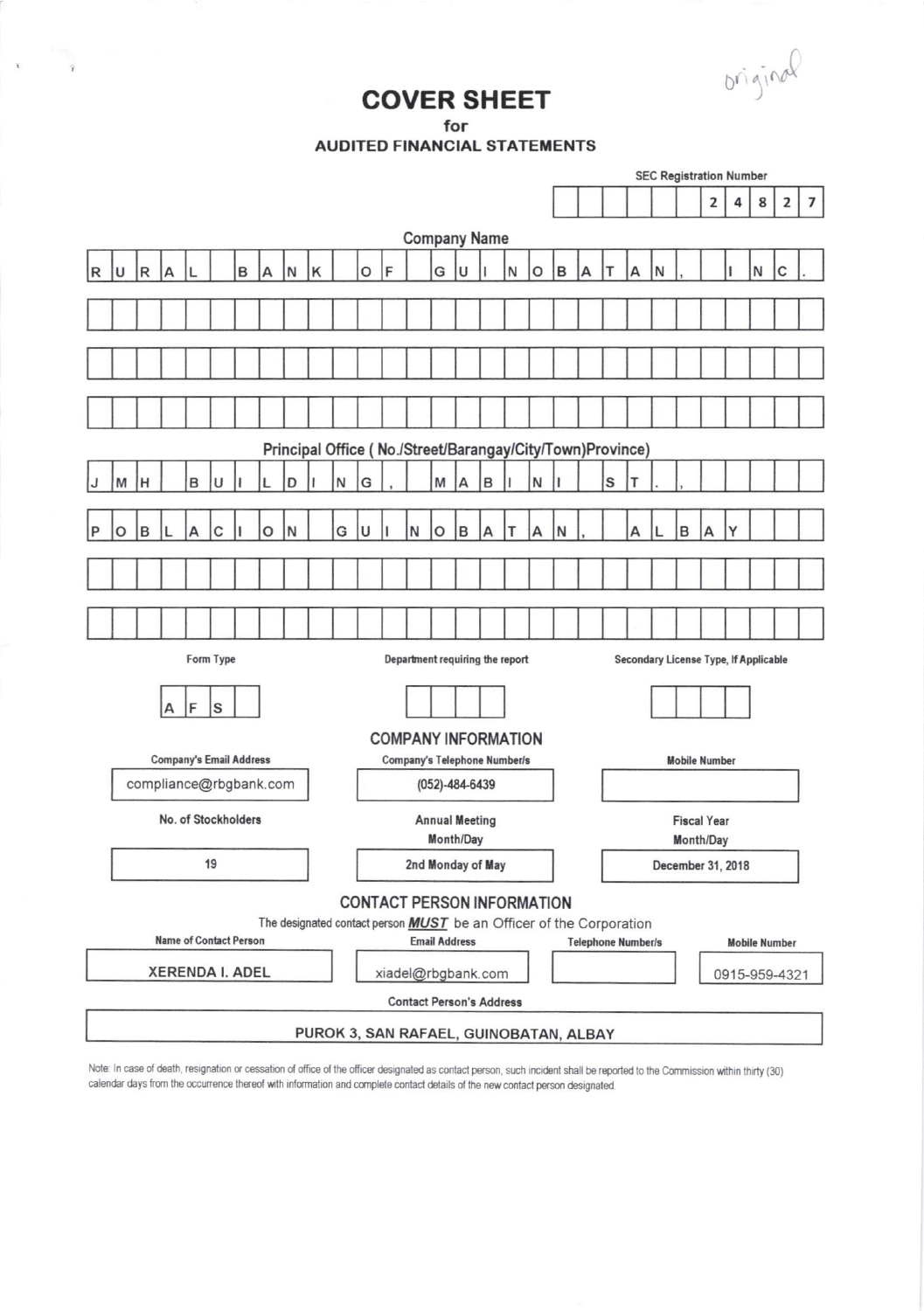original

## **COVER SHEET**

for

 $\label{eq:2.1} \chi = \frac{1}{2} \frac{1}{2} \frac{1}{2} \frac{1}{2} \frac{1}{2} \frac{1}{2} \frac{1}{2} \frac{1}{2} \frac{1}{2} \frac{1}{2} \frac{1}{2} \frac{1}{2} \frac{1}{2} \frac{1}{2} \frac{1}{2} \frac{1}{2} \frac{1}{2} \frac{1}{2} \frac{1}{2} \frac{1}{2} \frac{1}{2} \frac{1}{2} \frac{1}{2} \frac{1}{2} \frac{1}{2} \frac{1}{2} \frac{1}{2} \frac{1}{2} \frac{1}{2} \frac{1}{$ 

**AUDITED FINANCIAL STATEMENTS** 

|                     |                                                                                                                                     |             |   |   |   |   |   |   |         |   |                                                       |                       |                                 |                                                   | <b>SEC Registration Number</b>               |                      |   |   |   |                                        |                   |   |   |   |                         |   |   |                         |   |  |
|---------------------|-------------------------------------------------------------------------------------------------------------------------------------|-------------|---|---|---|---|---|---|---------|---|-------------------------------------------------------|-----------------------|---------------------------------|---------------------------------------------------|----------------------------------------------|----------------------|---|---|---|----------------------------------------|-------------------|---|---|---|-------------------------|---|---|-------------------------|---|--|
|                     |                                                                                                                                     |             |   |   |   |   |   |   |         |   |                                                       |                       |                                 |                                                   |                                              |                      |   |   |   |                                        |                   |   |   |   | $\overline{\mathbf{2}}$ | 4 | 8 | $\overline{\mathbf{2}}$ | 7 |  |
| <b>Company Name</b> |                                                                                                                                     |             |   |   |   |   |   |   |         |   |                                                       |                       |                                 |                                                   |                                              |                      |   |   |   |                                        |                   |   |   |   |                         |   |   |                         |   |  |
| R                   | U                                                                                                                                   | $\mathsf R$ | A |   |   | B | А | N | $\sf K$ |   | O                                                     | F                     |                                 | G                                                 | U                                            |                      | N | O | B | А                                      |                   | А | Ν |   |                         |   | N | C                       |   |  |
|                     |                                                                                                                                     |             |   |   |   |   |   |   |         |   |                                                       |                       |                                 |                                                   |                                              |                      |   |   |   |                                        |                   |   |   |   |                         |   |   |                         |   |  |
|                     |                                                                                                                                     |             |   |   |   |   |   |   |         |   |                                                       |                       |                                 |                                                   |                                              |                      |   |   |   |                                        |                   |   |   |   |                         |   |   |                         |   |  |
|                     |                                                                                                                                     |             |   |   |   |   |   |   |         |   |                                                       |                       |                                 |                                                   |                                              |                      |   |   |   |                                        |                   |   |   |   |                         |   |   |                         |   |  |
|                     |                                                                                                                                     |             |   |   |   |   |   |   |         |   |                                                       |                       |                                 |                                                   |                                              |                      |   |   |   |                                        |                   |   |   |   |                         |   |   |                         |   |  |
|                     |                                                                                                                                     |             |   |   |   |   |   |   |         |   |                                                       |                       |                                 |                                                   |                                              |                      |   |   |   |                                        |                   |   |   |   |                         |   |   |                         |   |  |
|                     | Principal Office ( No./Street/Barangay/City/Town)Province)                                                                          |             |   |   |   |   |   |   |         |   |                                                       |                       |                                 |                                                   |                                              |                      |   |   |   |                                        |                   |   |   |   |                         |   |   |                         |   |  |
| J                   | M                                                                                                                                   | н           |   | B | U |   | L | D | ı       | N | G                                                     |                       |                                 | M                                                 | $\overline{A}$                               | B                    | ı | N |   |                                        | S                 | T |   |   |                         |   |   |                         |   |  |
| P                   | O                                                                                                                                   | B           |   | A | C |   | O | N |         | G | U                                                     |                       | N                               | O                                                 | B                                            | А                    | т | А | N |                                        |                   | А |   | B | А                       | Y |   |                         |   |  |
|                     |                                                                                                                                     |             |   |   |   |   |   |   |         |   |                                                       |                       |                                 |                                                   |                                              |                      |   |   |   |                                        |                   |   |   |   |                         |   |   |                         |   |  |
|                     |                                                                                                                                     |             |   |   |   |   |   |   |         |   |                                                       |                       |                                 |                                                   |                                              |                      |   |   |   |                                        |                   |   |   |   |                         |   |   |                         |   |  |
|                     |                                                                                                                                     |             |   |   |   |   |   |   |         |   |                                                       |                       |                                 |                                                   |                                              |                      |   |   |   |                                        |                   |   |   |   |                         |   |   |                         |   |  |
|                     | Form Type<br>Department requiring the report                                                                                        |             |   |   |   |   |   |   |         |   |                                                       |                       |                                 |                                                   | <b>Secondary License Type, If Applicable</b> |                      |   |   |   |                                        |                   |   |   |   |                         |   |   |                         |   |  |
|                     |                                                                                                                                     |             |   |   |   |   |   |   |         |   |                                                       |                       |                                 |                                                   |                                              |                      |   |   |   |                                        |                   |   |   |   |                         |   |   |                         |   |  |
| F<br>S<br>А         |                                                                                                                                     |             |   |   |   |   |   |   |         |   |                                                       |                       |                                 |                                                   |                                              |                      |   |   |   |                                        |                   |   |   |   |                         |   |   |                         |   |  |
|                     | <b>COMPANY INFORMATION</b>                                                                                                          |             |   |   |   |   |   |   |         |   |                                                       |                       |                                 |                                                   |                                              | <b>Mobile Number</b> |   |   |   |                                        |                   |   |   |   |                         |   |   |                         |   |  |
|                     | <b>Company's Email Address</b><br>compliance@rbgbank.com                                                                            |             |   |   |   |   |   |   |         |   | <b>Company's Telephone Number/s</b><br>(052)-484-6439 |                       |                                 |                                                   |                                              |                      |   |   |   |                                        |                   |   |   |   |                         |   |   |                         |   |  |
|                     | No. of Stockholders                                                                                                                 |             |   |   |   |   |   |   |         |   |                                                       | <b>Annual Meeting</b> |                                 |                                                   |                                              |                      |   |   |   | <b>Fiscal Year</b>                     |                   |   |   |   |                         |   |   |                         |   |  |
|                     |                                                                                                                                     |             |   |   |   |   |   |   |         |   | Month/Day                                             |                       |                                 |                                                   |                                              |                      |   |   |   | Month/Day                              |                   |   |   |   |                         |   |   |                         |   |  |
|                     | 19                                                                                                                                  |             |   |   |   |   |   |   |         |   | 2nd Monday of May                                     |                       |                                 |                                                   |                                              |                      |   |   |   |                                        | December 31, 2018 |   |   |   |                         |   |   |                         |   |  |
|                     |                                                                                                                                     |             |   |   |   |   |   |   |         |   | <b>CONTACT PERSON INFORMATION</b>                     |                       |                                 |                                                   |                                              |                      |   |   |   |                                        |                   |   |   |   |                         |   |   |                         |   |  |
|                     | The designated contact person <b>MUST</b> be an Officer of the Corporation<br><b>Name of Contact Person</b><br><b>Email Address</b> |             |   |   |   |   |   |   |         |   |                                                       |                       |                                 | <b>Telephone Number/s</b><br><b>Mobile Number</b> |                                              |                      |   |   |   |                                        |                   |   |   |   |                         |   |   |                         |   |  |
| XERENDA I. ADEL     |                                                                                                                                     |             |   |   |   |   |   |   |         |   | xiadel@rbgbank.com                                    |                       |                                 |                                                   |                                              |                      |   |   |   |                                        | 0915-959-4321     |   |   |   |                         |   |   |                         |   |  |
|                     |                                                                                                                                     |             |   |   |   |   |   |   |         |   |                                                       |                       | <b>Contact Person's Address</b> |                                                   |                                              |                      |   |   |   |                                        |                   |   |   |   |                         |   |   |                         |   |  |
|                     |                                                                                                                                     |             |   |   |   |   |   |   |         |   |                                                       |                       |                                 |                                                   |                                              |                      |   |   |   | PUROK 3, SAN RAFAEL, GUINOBATAN, ALBAY |                   |   |   |   |                         |   |   |                         |   |  |

Note: In case of death, resignation or cessation of office of the officer designated as contact person, such incident shall be reported to the Commission within thirty (30) calendar days from the occurrence thereof with information and complete contact details of the new contact person designated.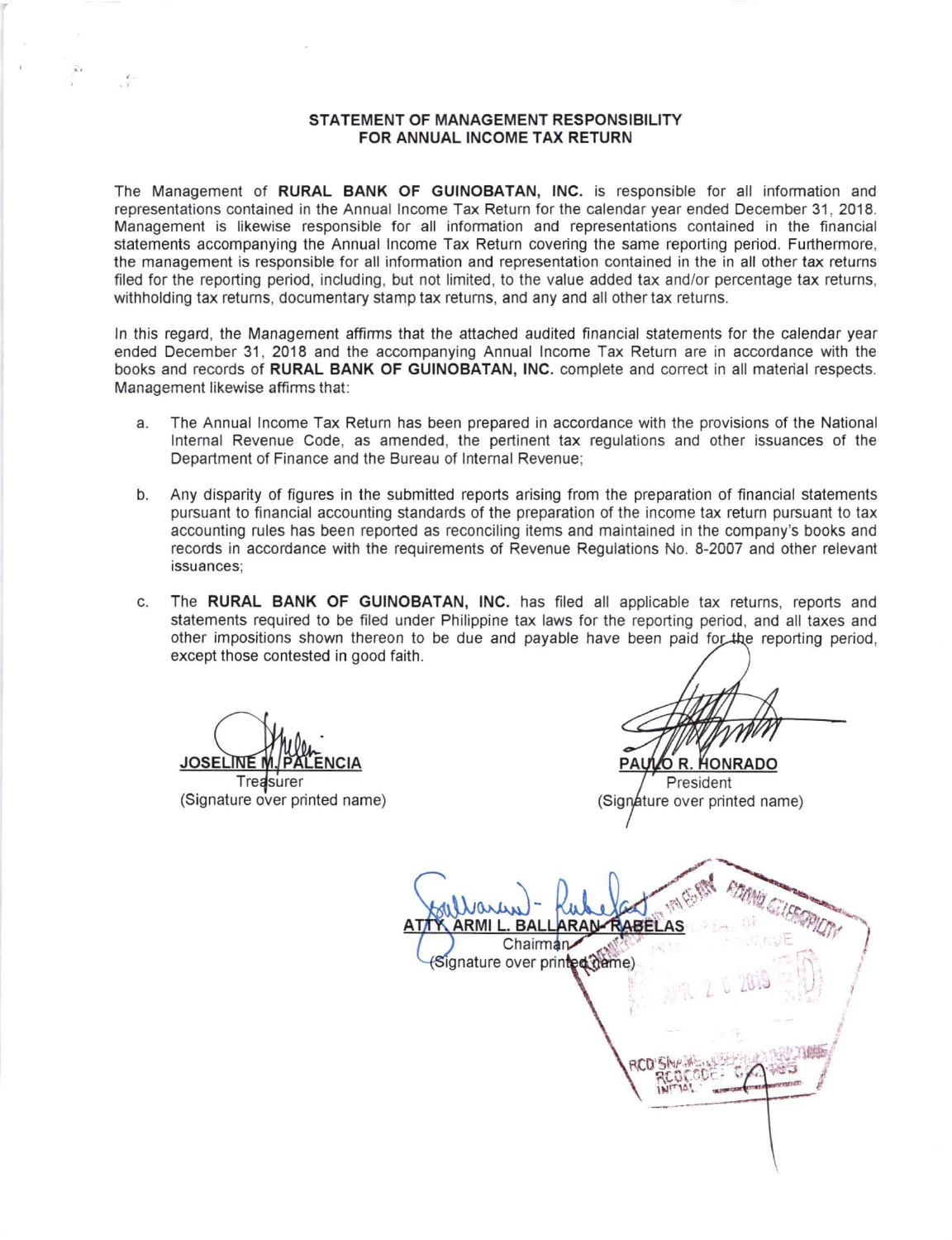## STATEMENT OF MANAGEMENT RESPONSIBILITY FOR ANNUAL INCOME TAX RETURN

The Management of RURAL BANK OF GUINOBATAN, INC. is responsible for all information and represenlations contained in the Annual lncome Tax Return for the calendar year ended December 31 , 2018. Managemenl is likewise responsible for all information and represenlations contained in the financial statements accompanying the Annual Income Tax Return covering the same reporting period. Furthermore, the management is responsible for all information and representalion contained in the in all olher tax returns filed for the reporting period, including, but not limited, to the value added tax and/or percentage tax returns, withholding tax returns, documentary stamp tax returns, and any and all other tax returns.

In this regard, the Management affirms that the attached audited financial statements for the calendar year ended December 31, 2018 and the accompanying Annual lncome Tax Return are in accordance with the books and records of RURAL BANK OF GUINOBATAN, INC. complete and correct in all material respects. Management likewise affirms that:

- a The Annual lncome Tax Return has been prepared in accordance with the provisions of the National lnternal Revenue Code, as amended, the perlinent tax regulations and other issuances of the Department of Finance and the Bureau of lnternal Revenue;
- Any disparily of ligures in the submitted reports arising from the preparation of financial statements pursuant to financial accounting standards of the preparation of the income tax return pursuant to tax accounting rules has been reported as reconciling items and maintained in the company's books and records in accordance with the requirements of Revenue Regulations No. 8-2007 and other relevant issuances; b
- The RURAL BANK OF GUINOBATAN, INC. has filed all applicable tax returns, reports and statements required to be filed under Philippine tax laws for the reporting period, and all taxes and other impositions shown thereon to be due and payable have been paid for the reporting period, except those contested in good faith. c

JOSELINE <u>JOSELINE M. PALENCIA</u> DE DE DE PAULO R. HO

Treasurer (Signature over printed name)

President (Signature over printed name)

**DOND GILFER ARMIL** . BAL **RAN-** $\underline{\mathtt{A}}$ I Chairman<sub></sub> ignature over prin**ted (ta**me) .J **UE!** RCD